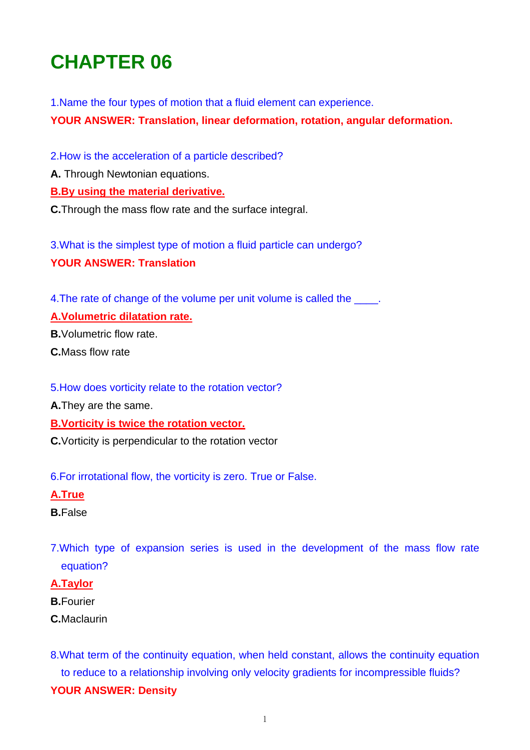# **CHAPTER 06**

1.Name the four types of motion that a fluid element can experience.

**YOUR ANSWER: Translation, linear deformation, rotation, angular deformation.** 

2.How is the acceleration of a particle described?

**A.** Through Newtonian equations.

## **B.By using the material derivative.**

**C.**Through the mass flow rate and the surface integral.

3.What is the simplest type of motion a fluid particle can undergo? **YOUR ANSWER: Translation** 

4. The rate of change of the volume per unit volume is called the  $\qquad$ .

## **A.Volumetric dilatation rate.**

**B.**Volumetric flow rate.

**C.**Mass flow rate

5.How does vorticity relate to the rotation vector?

**A.**They are the same.

**B.Vorticity is twice the rotation vector.**

**C.**Vorticity is perpendicular to the rotation vector

6.For irrotational flow, the vorticity is zero. True or False.

#### **A.True**

- **B.**False
- 7.Which type of expansion series is used in the development of the mass flow rate equation?

## **A.Taylor**

- **B.**Fourier
- **C.**Maclaurin

8.What term of the continuity equation, when held constant, allows the continuity equation to reduce to a relationship involving only velocity gradients for incompressible fluids? **YOUR ANSWER: Density**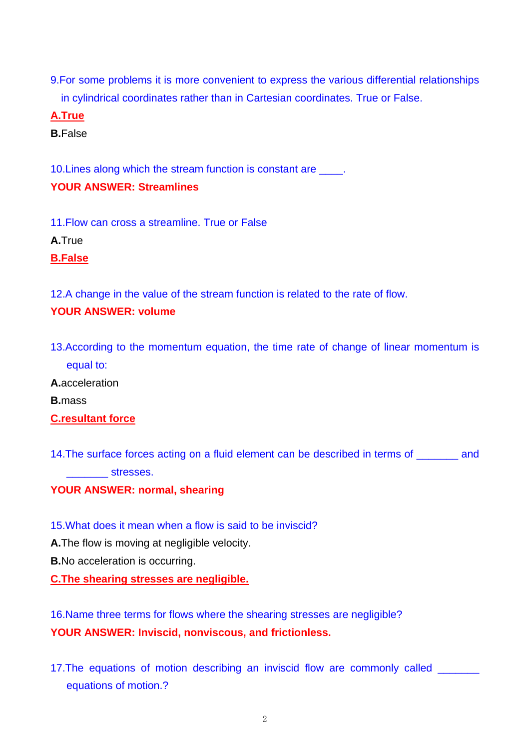9.For some problems it is more convenient to express the various differential relationships in cylindrical coordinates rather than in Cartesian coordinates. True or False.

**A.True**

**B.**False

10.Lines along which the stream function is constant are \_\_\_\_. **YOUR ANSWER: Streamlines** 

11.Flow can cross a streamline. True or False

**A.**True

**B.False**

12.A change in the value of the stream function is related to the rate of flow.

# **YOUR ANSWER: volume**

13.According to the momentum equation, the time rate of change of linear momentum is equal to:

**A.**acceleration

**B.**mass

# **C.resultant force**

14.The surface forces acting on a fluid element can be described in terms of \_\_\_\_\_\_\_ and  $stresses.$ 

**YOUR ANSWER: normal, shearing** 

15.What does it mean when a flow is said to be inviscid?

**A.**The flow is moving at negligible velocity.

**B.**No acceleration is occurring.

**C.The shearing stresses are negligible.**

16.Name three terms for flows where the shearing stresses are negligible? **YOUR ANSWER: Inviscid, nonviscous, and frictionless.** 

17.The equations of motion describing an inviscid flow are commonly called \_\_\_\_\_\_\_ equations of motion.?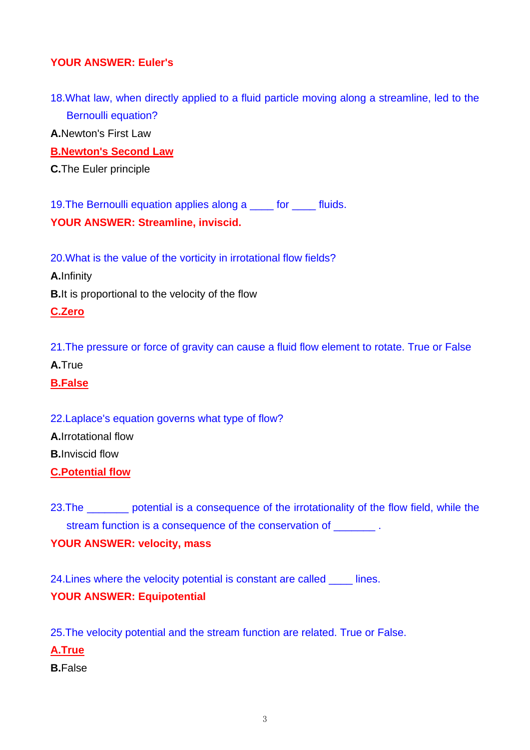# **YOUR ANSWER: Euler's**

18.What law, when directly applied to a fluid particle moving along a streamline, led to the Bernoulli equation?

**A.**Newton's First Law

**B.Newton's Second Law**

**C.**The Euler principle

19.The Bernoulli equation applies along a \_\_\_\_ for \_\_\_\_ fluids. **YOUR ANSWER: Streamline, inviscid.** 

20.What is the value of the vorticity in irrotational flow fields?

**A.**Infinity

**B.**It is proportional to the velocity of the flow

## **C.Zero**

21.The pressure or force of gravity can cause a fluid flow element to rotate. True or False

**A.**True

**B.False**

# 22.Laplace's equation governs what type of flow?

**A.**Irrotational flow

**B.**Inviscid flow

**C.Potential flow**

23. The \_\_\_\_\_\_\_ potential is a consequence of the irrotationality of the flow field, while the stream function is a consequence of the conservation of  $\qquad \qquad$ .

# **YOUR ANSWER: velocity, mass**

24. Lines where the velocity potential is constant are called lines. **YOUR ANSWER: Equipotential** 

25.The velocity potential and the stream function are related. True or False.

**A.True**

**B.**False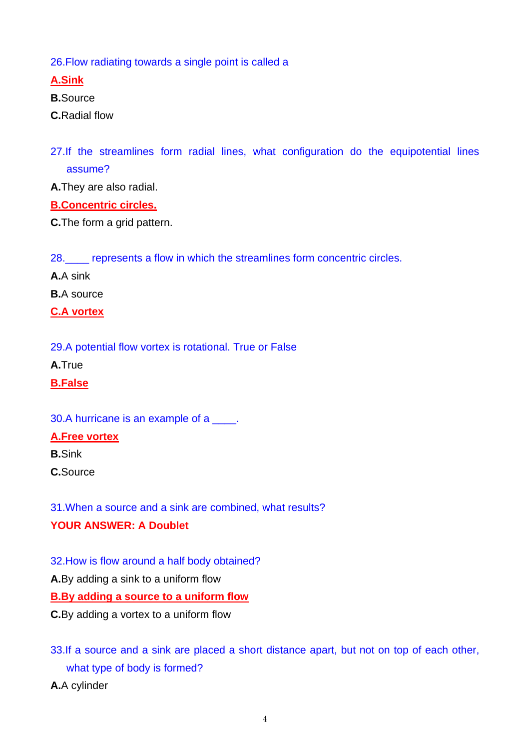26.Flow radiating towards a single point is called a

**A.Sink**

**B.**Source

**C.**Radial flow

27.If the streamlines form radial lines, what configuration do the equipotential lines assume?

**A.**They are also radial.

**B.Concentric circles.**

**C.**The form a grid pattern.

28.\_\_\_\_ represents a flow in which the streamlines form concentric circles.

**A.**A sink

**B.**A source

**C.A vortex**

29.A potential flow vortex is rotational. True or False

**A.**True

**B.False**

30.A hurricane is an example of a  $\blacksquare$ .

# **A.Free vortex**

**B.**Sink

**C.**Source

31.When a source and a sink are combined, what results?

# **YOUR ANSWER: A Doublet**

32.How is flow around a half body obtained?

**A.**By adding a sink to a uniform flow

**B.By adding a source to a uniform flow**

**C.**By adding a vortex to a uniform flow

33.If a source and a sink are placed a short distance apart, but not on top of each other, what type of body is formed?

**A.**A cylinder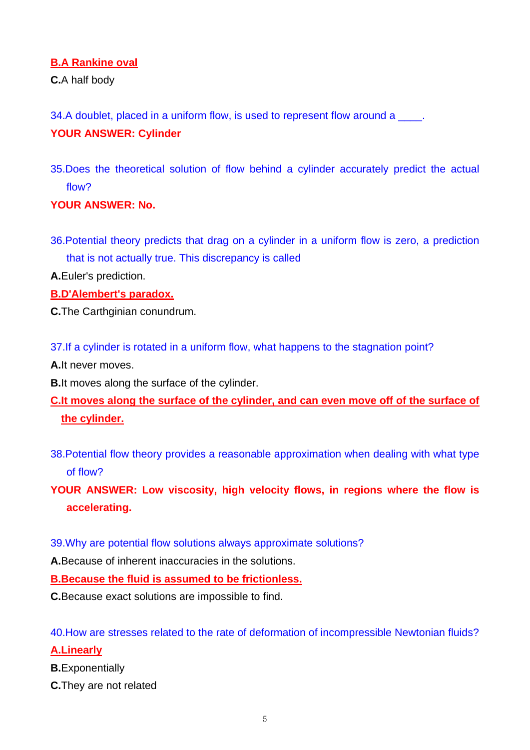## **B.A Rankine oval**

**C.**A half body

34.A doublet, placed in a uniform flow, is used to represent flow around a \_\_\_\_\_.

# **YOUR ANSWER: Cylinder**

35.Does the theoretical solution of flow behind a cylinder accurately predict the actual flow?

## **YOUR ANSWER: No.**

36.Potential theory predicts that drag on a cylinder in a uniform flow is zero, a prediction that is not actually true. This discrepancy is called

**A.**Euler's prediction.

**B.D'Alembert's paradox.**

**C.**The Carthginian conundrum.

37.If a cylinder is rotated in a uniform flow, what happens to the stagnation point?

**A.**It never moves.

**B.**It moves along the surface of the cylinder.

**C.It moves along the surface of the cylinder, and can even move off of the surface of the cylinder.**

38.Potential flow theory provides a reasonable approximation when dealing with what type of flow?

**YOUR ANSWER: Low viscosity, high velocity flows, in regions where the flow is accelerating.** 

## 39.Why are potential flow solutions always approximate solutions?

**A.**Because of inherent inaccuracies in the solutions.

**B.Because the fluid is assumed to be frictionless.**

**C.**Because exact solutions are impossible to find.

40.How are stresses related to the rate of deformation of incompressible Newtonian fluids?

## **A.Linearly**

**B.**Exponentially

**C.**They are not related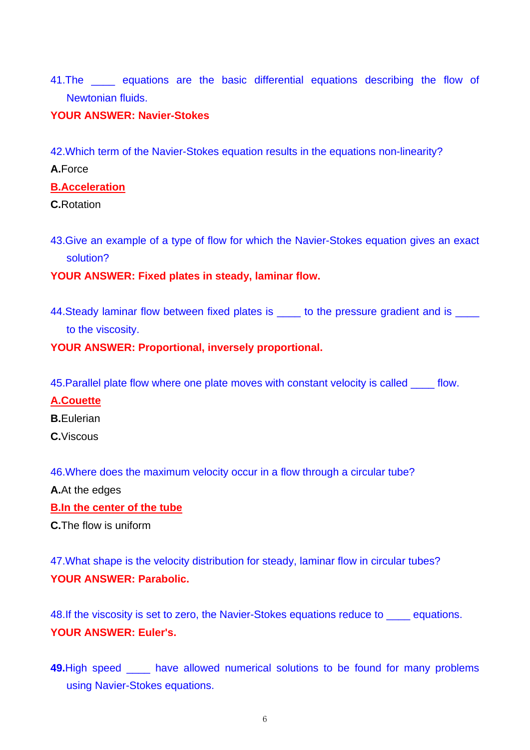41. The equations are the basic differential equations describing the flow of Newtonian fluids.

## **YOUR ANSWER: Navier-Stokes**

42.Which term of the Navier-Stokes equation results in the equations non-linearity?

**A.**Force

#### **B.Acceleration**

**C.**Rotation

43.Give an example of a type of flow for which the Navier-Stokes equation gives an exact solution?

## **YOUR ANSWER: Fixed plates in steady, laminar flow.**

44. Steady laminar flow between fixed plates is \_\_\_\_\_ to the pressure gradient and is \_\_\_\_ to the viscosity.

## **YOUR ANSWER: Proportional, inversely proportional.**

45.Parallel plate flow where one plate moves with constant velocity is called \_\_\_\_ flow.

## **A.Couette**

**B.**Eulerian

**C.**Viscous

46.Where does the maximum velocity occur in a flow through a circular tube?

**A.**At the edges

## **B.In the center of the tube**

**C.**The flow is uniform

47.What shape is the velocity distribution for steady, laminar flow in circular tubes? **YOUR ANSWER: Parabolic.** 

48.If the viscosity is set to zero, the Navier-Stokes equations reduce to \_\_\_\_ equations. **YOUR ANSWER: Euler's.** 

**49.**High speed \_\_\_\_ have allowed numerical solutions to be found for many problems using Navier-Stokes equations.